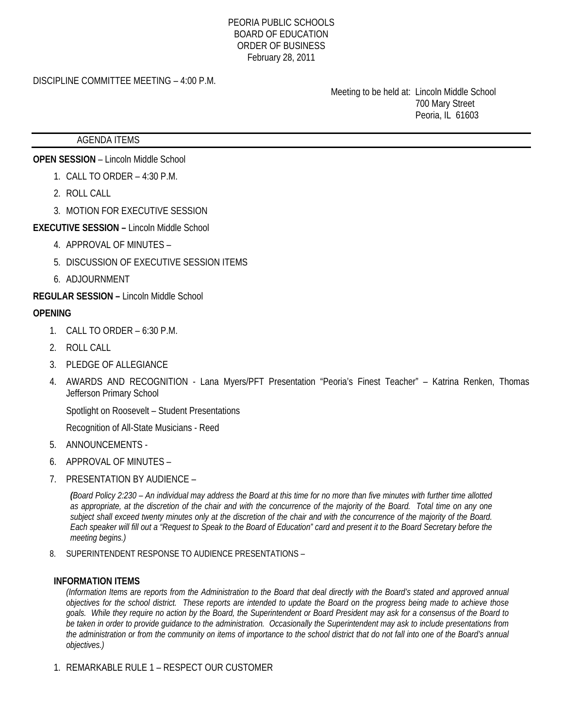#### PEORIA PUBLIC SCHOOLS BOARD OF EDUCATION ORDER OF BUSINESS February 28, 2011

## DISCIPLINE COMMITTEE MEETING – 4:00 P.M.

 Meeting to be held at: Lincoln Middle School 700 Mary Street Peoria, IL 61603

#### AGENDA ITEMS

**OPEN SESSION** – Lincoln Middle School

- 1. CALL TO ORDER 4:30 P.M.
- 2. ROLL CALL
- 3. MOTION FOR EXECUTIVE SESSION
- **EXECUTIVE SESSION** Lincoln Middle School
	- 4. APPROVAL OF MINUTES –
	- 5. DISCUSSION OF EXECUTIVE SESSION ITEMS
	- 6. ADJOURNMENT

**REGULAR SESSION –** Lincoln Middle School

### **OPENING**

- 1. CALL TO ORDER 6:30 P.M.
- 2. ROLL CALL
- 3. PLEDGE OF ALLEGIANCE
- 4. AWARDS AND RECOGNITION Lana Myers/PFT Presentation "Peoria's Finest Teacher" Katrina Renken, Thomas Jefferson Primary School

Spotlight on Roosevelt – Student Presentations

Recognition of All-State Musicians - Reed

- 5. ANNOUNCEMENTS -
- 6. APPROVAL OF MINUTES –
- 7. PRESENTATION BY AUDIENCE –

*(Board Policy 2:230 – An individual may address the Board at this time for no more than five minutes with further time allotted as appropriate, at the discretion of the chair and with the concurrence of the majority of the Board. Total time on any one subject shall exceed twenty minutes only at the discretion of the chair and with the concurrence of the majority of the Board. Each speaker will fill out a "Request to Speak to the Board of Education" card and present it to the Board Secretary before the meeting begins.)* 

8. SUPERINTENDENT RESPONSE TO AUDIENCE PRESENTATIONS –

#### **INFORMATION ITEMS**

*(Information Items are reports from the Administration to the Board that deal directly with the Board's stated and approved annual objectives for the school district. These reports are intended to update the Board on the progress being made to achieve those goals. While they require no action by the Board, the Superintendent or Board President may ask for a consensus of the Board to be taken in order to provide guidance to the administration. Occasionally the Superintendent may ask to include presentations from the administration or from the community on items of importance to the school district that do not fall into one of the Board's annual objectives.)* 

1. REMARKABLE RULE 1 – RESPECT OUR CUSTOMER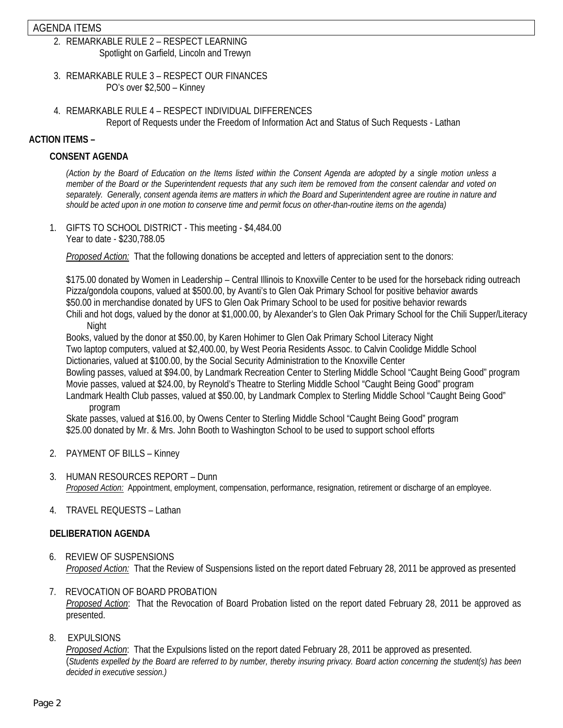## AGENDA ITEMS

- 2. REMARKABLE RULE 2 RESPECT LEARNING Spotlight on Garfield, Lincoln and Trewyn
- 3. REMARKABLE RULE 3 RESPECT OUR FINANCES PO's over \$2,500 – Kinney
- 4. REMARKABLE RULE 4 RESPECT INDIVIDUAL DIFFERENCES Report of Requests under the Freedom of Information Act and Status of Such Requests - Lathan

### **ACTION ITEMS –**

### **CONSENT AGENDA**

*(Action by the Board of Education on the Items listed within the Consent Agenda are adopted by a single motion unless a member of the Board or the Superintendent requests that any such item be removed from the consent calendar and voted on separately. Generally, consent agenda items are matters in which the Board and Superintendent agree are routine in nature and should be acted upon in one motion to conserve time and permit focus on other-than-routine items on the agenda)* 

1. GIFTS TO SCHOOL DISTRICT - This meeting - \$4,484.00 Year to date - \$230,788.05

*Proposed Action:* That the following donations be accepted and letters of appreciation sent to the donors:

 \$175.00 donated by Women in Leadership – Central Illinois to Knoxville Center to be used for the horseback riding outreach Pizza/gondola coupons, valued at \$500.00, by Avanti's to Glen Oak Primary School for positive behavior awards \$50.00 in merchandise donated by UFS to Glen Oak Primary School to be used for positive behavior rewards Chili and hot dogs, valued by the donor at \$1,000.00, by Alexander's to Glen Oak Primary School for the Chili Supper/Literacy

Night

Books, valued by the donor at \$50.00, by Karen Hohimer to Glen Oak Primary School Literacy Night Two laptop computers, valued at \$2,400.00, by West Peoria Residents Assoc. to Calvin Coolidge Middle School Dictionaries, valued at \$100.00, by the Social Security Administration to the Knoxville Center Bowling passes, valued at \$94.00, by Landmark Recreation Center to Sterling Middle School "Caught Being Good" program Movie passes, valued at \$24.00, by Reynold's Theatre to Sterling Middle School "Caught Being Good" program Landmark Health Club passes, valued at \$50.00, by Landmark Complex to Sterling Middle School "Caught Being Good"

program

Skate passes, valued at \$16.00, by Owens Center to Sterling Middle School "Caught Being Good" program \$25.00 donated by Mr. & Mrs. John Booth to Washington School to be used to support school efforts

- 2. PAYMENT OF BILLS Kinney
- 3. HUMAN RESOURCES REPORT Dunn *Proposed Action:* Appointment, employment, compensation, performance, resignation, retirement or discharge of an employee.
- 4. TRAVEL REQUESTS Lathan

## **DELIBERATION AGENDA**

- 6. REVIEW OF SUSPENSIONS *Proposed Action:* That the Review of Suspensions listed on the report dated February 28, 2011 be approved as presented
- 7. REVOCATION OF BOARD PROBATION *Proposed Action*: That the Revocation of Board Probation listed on the report dated February 28, 2011 be approved as presented.
- 8. EXPULSIONS

*Proposed Action*: That the Expulsions listed on the report dated February 28, 2011 be approved as presented. (*Students expelled by the Board are referred to by number, thereby insuring privacy. Board action concerning the student(s) has been decided in executive session.)*